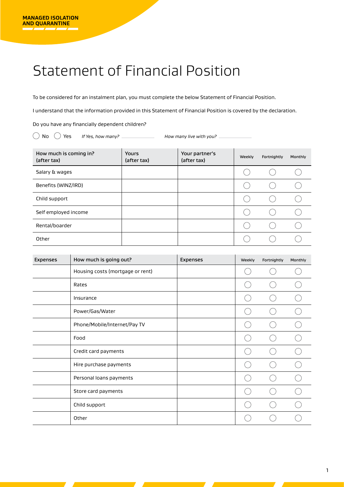## Statement of Financial Position

To be considered for an instalment plan, you must complete the below Statement of Financial Position.

I understand that the information provided in this Statement of Financial Position is covered by the declaration.

Do you have any financially dependent children?

No Yes *If Yes, how many? How many live with you?* 

| How much is coming in?<br>(after tax) | <b>Yours</b><br>(after tax) | Your partner's<br>(after tax) | Weekly | Fortnightly | Monthly |
|---------------------------------------|-----------------------------|-------------------------------|--------|-------------|---------|
| Salary & wages                        |                             |                               |        |             |         |
| Benefits (WINZ/IRD)                   |                             |                               |        |             |         |
| Child support                         |                             |                               |        |             |         |
| Self employed income                  |                             |                               |        |             |         |
| Rental/boarder                        |                             |                               |        |             |         |
| Other                                 |                             |                               |        |             |         |

| Expenses | How much is going out?           | <b>Expenses</b> | Weekly | Fortnightly | Monthly |
|----------|----------------------------------|-----------------|--------|-------------|---------|
|          | Housing costs (mortgage or rent) |                 |        |             |         |
|          | Rates                            |                 |        |             |         |
|          | Insurance                        |                 |        |             |         |
|          | Power/Gas/Water                  |                 |        |             |         |
|          | Phone/Mobile/Internet/Pay TV     |                 |        |             |         |
|          | Food                             |                 |        |             |         |
|          | Credit card payments             |                 |        |             |         |
|          | Hire purchase payments           |                 |        |             |         |
|          | Personal loans payments          |                 |        |             |         |
|          | Store card payments              |                 |        |             |         |
|          | Child support                    |                 |        |             |         |
|          | Other                            |                 |        |             |         |